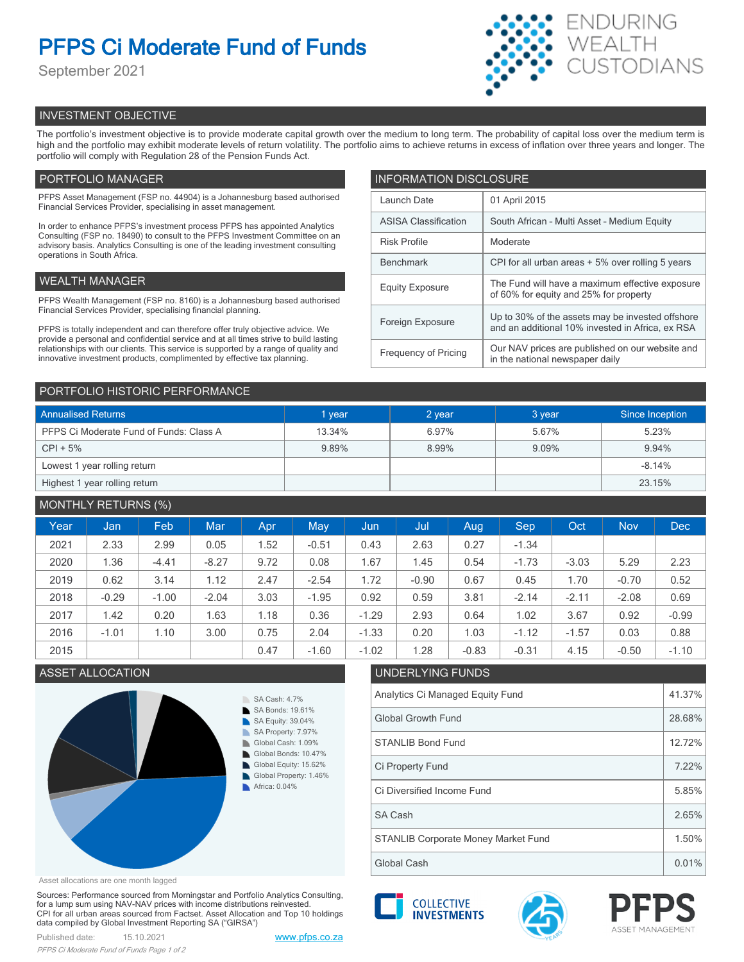# **PFPS Ci Moderate Fund of Funds**

September 2021



# INVESTMENT OBJECTIVE

The portfolio's investment objective is to provide moderate capital growth over the medium to long term. The probability of capital loss over the medium term is high and the portfolio may exhibit moderate levels of return volatility. The portfolio aims to achieve returns in excess of inflation over three years and longer. The portfolio will comply with Regulation 28 of the Pension Funds Act.

# PORTFOLIO MANAGER

PFPS Asset Management (FSP no. 44904) is a Johannesburg based authorised Financial Services Provider, specialising in asset management.

In order to enhance PFPS's investment process PFPS has appointed Analytics Consulting (FSP no. 18490) to consult to the PFPS Investment Committee on an advisory basis. Analytics Consulting is one of the leading investment consulting operations in South Africa.

# WEALTH MANAGER

PFPS Wealth Management (FSP no. 8160) is a Johannesburg based authorised Financial Services Provider, specialising financial planning.

PFPS is totally independent and can therefore offer truly objective advice. We provide a personal and confidential service and at all times strive to build lasting relationships with our clients. This service is supported by a range of quality and innovative investment products, complimented by effective tax planning.

| <b>INFORMATION DISCLOSURE</b> |                                                                                                      |  |  |  |  |
|-------------------------------|------------------------------------------------------------------------------------------------------|--|--|--|--|
| Launch Date                   | 01 April 2015                                                                                        |  |  |  |  |
| <b>ASISA Classification</b>   | South African - Multi Asset - Medium Equity                                                          |  |  |  |  |
| <b>Risk Profile</b>           | Moderate                                                                                             |  |  |  |  |
| <b>Benchmark</b>              | CPI for all urban areas + 5% over rolling 5 years                                                    |  |  |  |  |
| <b>Equity Exposure</b>        | The Fund will have a maximum effective exposure<br>of 60% for equity and 25% for property            |  |  |  |  |
| Foreign Exposure              | Up to 30% of the assets may be invested offshore<br>and an additional 10% invested in Africa, ex RSA |  |  |  |  |
| <b>Frequency of Pricing</b>   | Our NAV prices are published on our website and<br>in the national newspaper daily                   |  |  |  |  |

## PORTFOLIO HISTORIC PERFORMANCE

| <b>Annualised Returns</b>               | 1 year | 2 year | 3 year | Since Inception |  |
|-----------------------------------------|--------|--------|--------|-----------------|--|
| PFPS Ci Moderate Fund of Funds: Class A | 13.34% | 6.97%  | 5.67%  | 5.23%           |  |
| $CPI + 5%$                              | 9.89%  | 8.99%  | 9.09%  | 9.94%           |  |
| Lowest 1 year rolling return            |        |        |        | $-8.14%$        |  |
| Highest 1 year rolling return           |        |        |        | 23.15%          |  |

# MONTHLY RETURNS (%)

| Year | Jan     | Feb     | <b>Mar</b> | Apr. | <b>May</b> | Jun     | Jul     | <b>Aug</b> | <b>Sep</b> | Oct     | <b>Nov</b> | <b>Dec</b> |
|------|---------|---------|------------|------|------------|---------|---------|------------|------------|---------|------------|------------|
| 2021 | 2.33    | 2.99    | 0.05       | 1.52 | $-0.51$    | 0.43    | 2.63    | 0.27       | $-1.34$    |         |            |            |
| 2020 | 1.36    | $-4.41$ | $-8.27$    | 9.72 | 0.08       | 1.67    | 1.45    | 0.54       | $-1.73$    | $-3.03$ | 5.29       | 2.23       |
| 2019 | 0.62    | 3.14    | 1.12       | 2.47 | $-2.54$    | 1.72    | $-0.90$ | 0.67       | 0.45       | 1.70    | $-0.70$    | 0.52       |
| 2018 | $-0.29$ | $-1.00$ | $-2.04$    | 3.03 | $-1.95$    | 0.92    | 0.59    | 3.81       | $-2.14$    | $-2.11$ | $-2.08$    | 0.69       |
| 2017 | 1.42    | 0.20    | 1.63       | 1.18 | 0.36       | $-1.29$ | 2.93    | 0.64       | 1.02       | 3.67    | 0.92       | $-0.99$    |
| 2016 | $-1.01$ | 1.10    | 3.00       | 0.75 | 2.04       | $-1.33$ | 0.20    | 1.03       | $-1.12$    | $-1.57$ | 0.03       | 0.88       |
| 2015 |         |         |            | 0.47 | $-1.60$    | $-1.02$ | 1.28    | $-0.83$    | $-0.31$    | 4.15    | $-0.50$    | $-1.10$    |

# ASSET ALLOCATION UNDERLYING FUNDS



### Asset allocations are one month lagged

Sources: Performance sourced from Morningstar and Portfolio Analytics Consulting, for a lump sum using NAV-NAV prices with income distributions reinvested. CPI for all urban areas sourced from Factset. Asset Allocation and Top 10 holdings data compiled by Global Investment Reporting SA ("GIRSA")